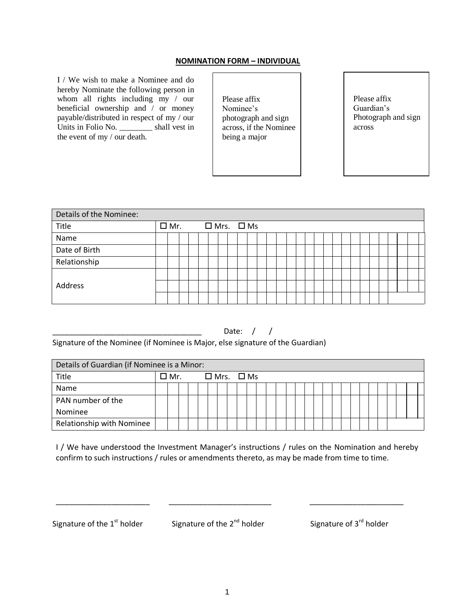## **NOMINATION FORM – INDIVIDUAL**

I / We wish to make a Nominee and do hereby Nominate the following person in whom all rights including my / our beneficial ownership and / or money payable/distributed in respect of my / our Units in Folio No. \_\_\_\_\_\_\_\_ shall vest in the event of my / our death.

Please affix Nominee's photograph and sign across, if the Nominee being a major

Please affix Guardian's Photograph and sign across

| Details of the Nominee: |  |               |  |  |  |  |  |  |                       |  |  |  |  |  |  |  |  |  |
|-------------------------|--|---------------|--|--|--|--|--|--|-----------------------|--|--|--|--|--|--|--|--|--|
| Title                   |  | $\square$ Mr. |  |  |  |  |  |  | $\Box$ Mrs. $\Box$ Ms |  |  |  |  |  |  |  |  |  |
| Name                    |  |               |  |  |  |  |  |  |                       |  |  |  |  |  |  |  |  |  |
| Date of Birth           |  |               |  |  |  |  |  |  |                       |  |  |  |  |  |  |  |  |  |
| Relationship            |  |               |  |  |  |  |  |  |                       |  |  |  |  |  |  |  |  |  |
|                         |  |               |  |  |  |  |  |  |                       |  |  |  |  |  |  |  |  |  |
| Address                 |  |               |  |  |  |  |  |  |                       |  |  |  |  |  |  |  |  |  |
|                         |  |               |  |  |  |  |  |  |                       |  |  |  |  |  |  |  |  |  |

## Date:  $/$  /

Signature of the Nominee (if Nominee is Major, else signature of the Guardian)

| Details of Guardian (if Nominee is a Minor: |  |                                  |  |  |  |  |  |  |  |  |  |  |  |  |  |  |  |  |
|---------------------------------------------|--|----------------------------------|--|--|--|--|--|--|--|--|--|--|--|--|--|--|--|--|
| Title                                       |  | $\Box$ Mr. $\Box$ Mrs. $\Box$ Ms |  |  |  |  |  |  |  |  |  |  |  |  |  |  |  |  |
| Name                                        |  |                                  |  |  |  |  |  |  |  |  |  |  |  |  |  |  |  |  |
| PAN number of the                           |  |                                  |  |  |  |  |  |  |  |  |  |  |  |  |  |  |  |  |
| Nominee                                     |  |                                  |  |  |  |  |  |  |  |  |  |  |  |  |  |  |  |  |
| Relationship with Nominee                   |  |                                  |  |  |  |  |  |  |  |  |  |  |  |  |  |  |  |  |

I / We have understood the Investment Manager's instructions / rules on the Nomination and hereby confirm to such instructions / rules or amendments thereto, as may be made from time to time.

Signature of the  $1^{\text{st}}$  holder Signature of the  $2^{\text{nd}}$  holder Signature of  $3^{\text{rd}}$  holder

\_\_\_\_\_\_\_\_\_\_\_\_\_\_\_\_\_\_\_\_\_\_ \_\_\_\_\_\_\_\_\_\_\_\_\_\_\_\_\_\_\_\_\_\_\_\_ \_\_\_\_\_\_\_\_\_\_\_\_\_\_\_\_\_\_\_\_\_\_